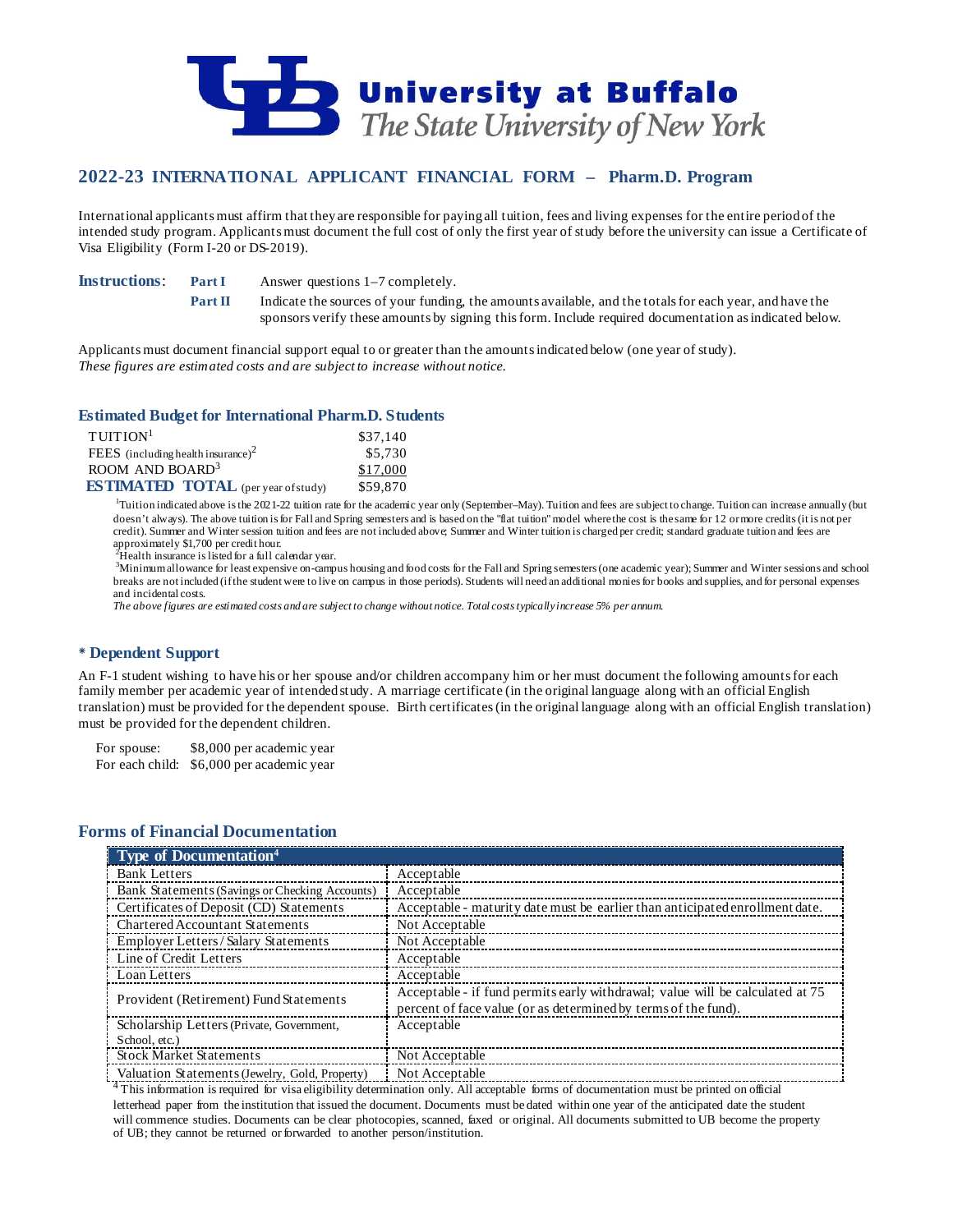

# **2022-23 INTERNATIONAL APPLICANT FINANCIAL FORM – Pharm.D. Program**

International applicants must affirm that they are responsible for paying all tuition, fees and living expenses for the entire period of the intended study program. Applicants must document the full cost of only the first year of study before the university can issue a Certificate of Visa Eligibility (Form I-20 or DS-2019).

**Instructions: Part I** Answer questions 1–7 completely.

**Part II** Indicate the sources of your funding, the amounts available, and the totals for each year, and have the sponsors verify these amounts by signing this form. Include required documentation as indicated below.

Applicants must document financial support equal to or greater than the amounts indicated below (one year of study). *These figures are estimated costs and are subject to increase without notice.*

### **Estimated Budget for International Pharm.D. Students**

| $T$ UITION <sup>1</sup>                    | \$37,140 |
|--------------------------------------------|----------|
| FEES (including health insurance) $2$      | \$5,730  |
| ROOM AND BOARD <sup>3</sup>                | \$17,000 |
| <b>ESTIMATED TOTAL</b> (per year of study) | \$59,870 |

<sup>1</sup>Tuition indicated above is the 2021-22 tuition rate for the academic year only (September–May). Tuition and fees are subject to change. Tuition can increase annually (but doesn't always). The above tuition is for Fall and Spring semesters and is based on the "flat tuition" model where the cost is the same for 12 or more credits (it is not per credit). Summer and Winter session tuition and fees are not included above; Summer and Winter tuition is charged per credit; standard graduate tuition and fees are approximately \$1,700 per credit hour.<br> $^{2}$ Hoelth in groups is listed for a full contained

 $^{2}$ Health insurance is listed for a full calendar year.<br> $^{3}$ Minimum allowance for loast expensive on canon

Minimum allowance for least expensive on-campus housing and food costs for the Fall and Spring semesters (one academic year); Summer and Winter sessions and school breaks are not included (if the student were to live on campus in those periods). Students will need an additional monies for books and supplies, and for personal expenses and incidental costs.

*The above figures are estimated costs and are subject to change without notice. Total costs typically increase 5% per annum.*

### **Dependent Support**

An F-1 student wishing to have his or her spouse and/or children accompany him or her must document the following amounts for each family member per academic year of intended study. A marriage certificate (in the original language along with an official English translation) must be provided for the dependent spouse. Birth certificates (in the original language along with an official English translation) must be provided for the dependent children.

For spouse: \$8,000 per academic year For each child: \$6,000 per academic year

## **Forms of Financial Documentation**

| <b>Type of Documentation</b> <sup>4</sup>      |                                                                                                                                                 |
|------------------------------------------------|-------------------------------------------------------------------------------------------------------------------------------------------------|
| <b>Bank Letters</b>                            | Acceptable                                                                                                                                      |
| Bank Statements (Savings or Checking Accounts) | Acceptable                                                                                                                                      |
| Certificates of Deposit (CD) Statements        | Acceptable - maturity date must be earlier than anticipated enrollment date.                                                                    |
| <b>Chartered Accountant Statements</b>         | Not Acceptable                                                                                                                                  |
| Employer Letters/Salary Statements             | Not Acceptable                                                                                                                                  |
| Line of Credit Letters                         | Acceptable                                                                                                                                      |
| Loan Letters                                   | Acceptable                                                                                                                                      |
| Provident (Retirement) Fund Statements         | Acceptable - if fund permits early withdrawal; value will be calculated at 75<br>percent of face value (or as determined by terms of the fund). |
| Scholarship Letters (Private, Government,      | Acceptable                                                                                                                                      |
| School, etc.)                                  |                                                                                                                                                 |
| <b>Stock Market Statements</b>                 | Not Acceptable                                                                                                                                  |
| Valuation Statements (Jewelry, Gold, Property) | Not Acceptable                                                                                                                                  |

4 This information is required for visa eligibility determination only. All acceptable forms of documentation must be printed on official letterhead paper from the institution that issued the document. Documents must be dated within one year of the anticipated date the student will commence studies. Documents can be clear photocopies, scanned, faxed or original. All documents submitted to UB become the property of UB; they cannot be returned or forwarded to another person/institution.